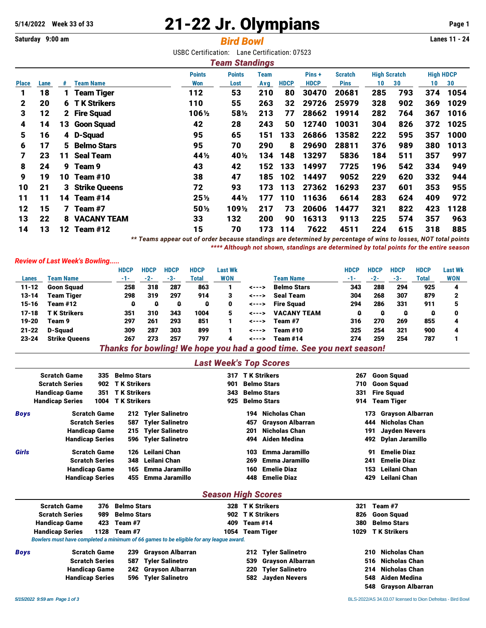## **5/14/2022 Week 33 of 33** 21-22 Jr. Olympians **Page 1**

## **Saturday 9:00 am** *Bird Bowl* **Lanes 11 - 24**

USBC Certification: Lane Certification: 07523

|              | <b>Team Standings</b>                                                                            |    |                    |                                |                                |     |             |             |             |     |     |     |      |  |
|--------------|--------------------------------------------------------------------------------------------------|----|--------------------|--------------------------------|--------------------------------|-----|-------------|-------------|-------------|-----|-----|-----|------|--|
|              | <b>Points</b><br>Pins +<br><b>High Scratch</b><br><b>Points</b><br><b>Team</b><br><b>Scratch</b> |    |                    |                                |                                |     |             |             |             |     |     |     |      |  |
| <b>Place</b> | Lane                                                                                             | #  | <b>Team Name</b>   | Won                            | Lost                           | Avg | <b>HDCP</b> | <b>HDCP</b> | <b>Pins</b> | 10  | 30  | 10  | 30   |  |
|              | 18                                                                                               | 1  | <b>Team Tiger</b>  | 112                            | 53                             | 210 | 80          | 30470       | 20681       | 285 | 793 | 374 | 1054 |  |
| 2            | 20                                                                                               | 6  | <b>TK Strikers</b> | 110                            | 55                             | 263 | 32          | 29726       | 25979       | 328 | 902 | 369 | 1029 |  |
| 3            | 12                                                                                               |    | 2 Fire Squad       | 106½                           | 58½                            | 213 | 77          | 28662       | 19914       | 282 | 764 | 367 | 1016 |  |
| 4            | 14                                                                                               | 13 | <b>Goon Squad</b>  | 42                             | 28                             | 243 | 50          | 12740       | 10031       | 304 | 826 | 372 | 1025 |  |
| 5            | 16                                                                                               |    | 4 D-Squad          | 95                             | 65                             | 151 | 133         | 26866       | 13582       | 222 | 595 | 357 | 1000 |  |
| 6            | 17                                                                                               | 5  | <b>Belmo Stars</b> | 95                             | 70                             | 290 | 8           | 29690       | 28811       | 376 | 989 | 380 | 1013 |  |
|              | 23                                                                                               | 11 | <b>Seal Team</b>   | 44 <sup>1</sup> / <sub>2</sub> | 40 <sup>1/2</sup>              | 134 | 148         | 13297       | 5836        | 184 | 511 | 357 | 997  |  |
| 8            | 24                                                                                               | 9  | Team 9             | 43                             | 42                             | 152 | 133         | 14997       | 7725        | 196 | 542 | 334 | 949  |  |
| 9            | 19                                                                                               | 10 | Team #10           | 38                             | 47                             | 185 | 102         | 14497       | 9052        | 229 | 620 | 332 | 944  |  |
| 10           | 21                                                                                               |    | 3 Strike Queens    | 72                             | 93                             | 173 | 113         | 27362       | 16293       | 237 | 601 | 353 | 955  |  |
| 11           | 11                                                                                               | 14 | Team #14           | $25\%$                         | 44 <sup>1</sup> / <sub>2</sub> | 177 | 110         | 11636       | 6614        | 283 | 624 | 409 | 972  |  |
| 12           | 15                                                                                               | 7  | Team #7            | 50%                            | 109½                           | 217 | 73          | 20606       | 14477       | 321 | 822 | 423 | 1128 |  |
| 13           | 22                                                                                               | 8  | <b>VACANY TEAM</b> | 33                             | 132                            | 200 | 90          | 16313       | 9113        | 225 | 574 | 357 | 963  |  |
| 14           | 13                                                                                               | 12 | Team #12           | 15                             | 70                             | 173 | 114         | 7622        | 4511        | 224 | 615 | 318 | 885  |  |

*\*\* Teams appear out of order because standings are determined by percentage of wins to losses, NOT total points \*\*\*\* Although not shown, standings are determined by total points for the entire season*

## *Review of Last Week's Bowling.....*

|           |                      | <b>HDCP</b> | <b>HDCP</b> | <b>HDCP</b> | <b>HDCP</b> | Last Wk    |                |                                                                        | HDCP  | <b>HDCP</b> | <b>HDCP</b> | <b>HDCP</b> | <b>Last Wk</b> |
|-----------|----------------------|-------------|-------------|-------------|-------------|------------|----------------|------------------------------------------------------------------------|-------|-------------|-------------|-------------|----------------|
| Lanes     | <b>Team Name</b>     | -1-         | $-2-$       | -3-         | Total       | <b>WON</b> |                | Team Name                                                              | $-1-$ | -2-         | -3-         | Total       | <b>WON</b>     |
| $11 - 12$ | <b>Goon Squad</b>    | 258         | 318         | 287         | 863         |            | <--->          | <b>Belmo Stars</b>                                                     | 343   | 288         | 294         | 925         | 4              |
| $13 - 14$ | Team Tiger           | 298         | 319         | 297         | 914         | 3          | <--->          | <b>Seal Team</b>                                                       | 304   | 268         | 307         | 879         |                |
| 15-16     | Team #12             | 0           | 0           | o           | o           | 0          | <--->          | <b>Fire Sauad</b>                                                      | 294   | 286         | 331         | 911         |                |
| $17 - 18$ | <b>TK Strikers</b>   | 351         | 310         | 343         | 1004        | 5          | $\leftarrow -$ | <b>VACANY TEAM</b>                                                     | a     | o           | Ω           | ۵           | 0              |
| 19-20     | Team 9               | 297         | 261         | 293         | 851         |            | <--->          | Team #7                                                                | 316   | 270         | 269         | 855         |                |
| $21 - 22$ | D-Sauad              | 309         | 287         | 303         | 899         |            | <--->          | <b>Team #10</b>                                                        | 325   | 254         | 321         | 900         |                |
| $23 - 24$ | <b>Strike Queens</b> | 267         | 273         | 257         | 797         | 4          | <--->          | Team #14                                                               | 274   | 259         | 254         | 787         |                |
|           |                      |             |             |             |             |            |                | Thanks for handboul We have you had a read these Oak you want assessed |       |             |             |             |                |

*Thanks for bowling! We hope you had a good time. See you next season!*

## *Last Week's Top Scores*

|             | <b>Scratch Game</b>    | 335  | <b>Belmo Stars</b> |                                                                                        | 317                       |            | <b>TK Strikers</b>      | 267  | <b>Goon Squad</b>        |
|-------------|------------------------|------|--------------------|----------------------------------------------------------------------------------------|---------------------------|------------|-------------------------|------|--------------------------|
|             | <b>Scratch Series</b>  | 902  | <b>TK Strikers</b> |                                                                                        | 901                       |            | <b>Belmo Stars</b>      | 710  | <b>Goon Squad</b>        |
|             | <b>Handicap Game</b>   | 351  | <b>TK Strikers</b> |                                                                                        | 343                       |            | <b>Belmo Stars</b>      | 331  | <b>Fire Squad</b>        |
|             | <b>Handicap Series</b> | 1004 | <b>TK Strikers</b> |                                                                                        | 925                       |            | <b>Belmo Stars</b>      | 914  | <b>Team Tiger</b>        |
| <b>Boys</b> | <b>Scratch Game</b>    |      | 212                | <b>Tyler Salinetro</b>                                                                 |                           | 194        | <b>Nicholas Chan</b>    | 173  | <b>Grayson Albarran</b>  |
|             | <b>Scratch Series</b>  |      | 587                | <b>Tyler Salinetro</b>                                                                 |                           | 457        | <b>Grayson Albarran</b> | 444  | <b>Nicholas Chan</b>     |
|             | <b>Handicap Game</b>   |      | 215                | <b>Tyler Salinetro</b>                                                                 |                           | 201        | <b>Nicholas Chan</b>    | 191  | <b>Jayden Nevers</b>     |
|             | <b>Handicap Series</b> |      | 596                | <b>Tyler Salinetro</b>                                                                 |                           | 494        | <b>Aiden Medina</b>     | 492  | <b>Dylan Jaramillo</b>   |
| Girls       | <b>Scratch Game</b>    |      | 126                | Leilani Chan                                                                           |                           | 103        | Emma Jaramillo          |      | <b>Emelie Diaz</b><br>91 |
|             | <b>Scratch Series</b>  |      | 348                | Leilani Chan                                                                           |                           | 269        | Emma Jaramillo          | 241  | <b>Emelie Diaz</b>       |
|             | <b>Handicap Game</b>   |      | 165                | Emma Jaramillo                                                                         |                           | 160        | <b>Emelie Diaz</b>      | 153  | Leilani Chan             |
|             | <b>Handicap Series</b> |      | 455                | Emma Jaramillo                                                                         |                           | 448        | <b>Emelie Diaz</b>      | 429  | Leilani Chan             |
|             |                        |      |                    |                                                                                        | <b>Season High Scores</b> |            |                         |      |                          |
|             | <b>Scratch Game</b>    | 376  | <b>Belmo Stars</b> |                                                                                        | 328                       |            | <b>TK Strikers</b>      | 321  | Team #7                  |
|             | <b>Scratch Series</b>  | 989  | <b>Belmo Stars</b> |                                                                                        | 902                       |            | <b>TK Strikers</b>      | 826  | <b>Goon Squad</b>        |
|             | <b>Handicap Game</b>   | 423  | Team #7            |                                                                                        | 409                       | Team $#14$ |                         | 380  | <b>Belmo Stars</b>       |
|             | <b>Handicap Series</b> | 1128 | Team #7            |                                                                                        | 1054                      |            | <b>Team Tiger</b>       | 1029 | <b>TK Strikers</b>       |
|             |                        |      |                    | Bowlers must have completed a minimum of 66 games to be eligible for any league award. |                           |            |                         |      |                          |
| <b>Boys</b> | <b>Scratch Game</b>    |      | 239                | <b>Grayson Albarran</b>                                                                |                           | 212        | <b>Tyler Salinetro</b>  | 210  | <b>Nicholas Chan</b>     |
|             | <b>Scratch Series</b>  |      | 587                | <b>Tyler Salinetro</b>                                                                 |                           | 539        | <b>Grayson Albarran</b> | 516  | <b>Nicholas Chan</b>     |
|             | <b>Handicap Game</b>   |      | 242                | <b>Grayson Albarran</b>                                                                |                           | 220        | <b>Tyler Salinetro</b>  | 214  | <b>Nicholas Chan</b>     |
|             | <b>Handicap Series</b> |      | 596                | <b>Tyler Salinetro</b>                                                                 |                           | 582        | <b>Jayden Nevers</b>    | 548  | Aiden Medina             |
|             |                        |      |                    |                                                                                        |                           |            |                         | 548  | <b>Gravson Albarran</b>  |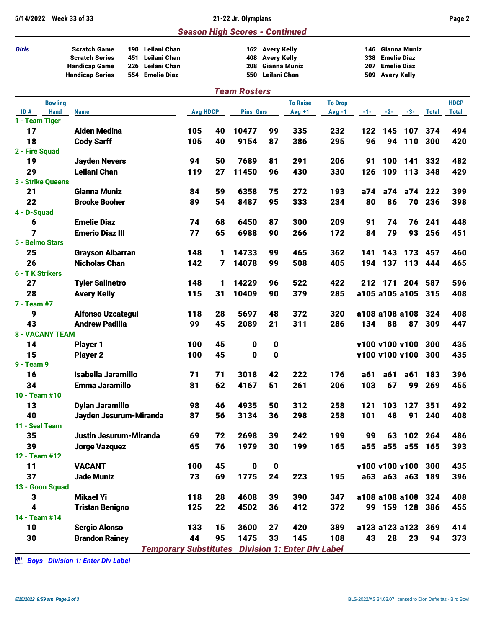| 5/14/2022              | <b>Week 33 of 33</b>                                                                           |                          |                                                                    |                 |    | 21-22 Jr. Olympians                   |                                                       |                 |                |                          |                    |                                                          |              | Page 2       |
|------------------------|------------------------------------------------------------------------------------------------|--------------------------|--------------------------------------------------------------------|-----------------|----|---------------------------------------|-------------------------------------------------------|-----------------|----------------|--------------------------|--------------------|----------------------------------------------------------|--------------|--------------|
|                        |                                                                                                |                          |                                                                    |                 |    | <b>Season High Scores - Continued</b> |                                                       |                 |                |                          |                    |                                                          |              |              |
| <b>Girls</b>           | <b>Scratch Game</b><br><b>Scratch Series</b><br><b>Handicap Game</b><br><b>Handicap Series</b> | 190<br>451<br>226<br>554 | Leilani Chan<br>Leilani Chan<br>Leilani Chan<br><b>Emelie Diaz</b> |                 |    | 408<br>208<br>550                     | 162 Avery Kelly<br><b>Avery Kelly</b><br>Leilani Chan | Gianna Muniz    |                | 146<br>338<br>207<br>509 | <b>Avery Kelly</b> | Gianna Muniz<br><b>Emelie Diaz</b><br><b>Emelie Diaz</b> |              |              |
|                        |                                                                                                |                          |                                                                    |                 |    | <b>Team Rosters</b>                   |                                                       |                 |                |                          |                    |                                                          |              |              |
| <b>Bowling</b>         |                                                                                                |                          |                                                                    |                 |    |                                       |                                                       | <b>To Raise</b> | <b>To Drop</b> |                          |                    |                                                          |              | <b>HDCP</b>  |
| ID#<br><b>Hand</b>     | <b>Name</b>                                                                                    |                          |                                                                    | <b>Avg HDCP</b> |    | <b>Pins Gms</b>                       |                                                       | $Avg +1$        | $Avg -1$       | -1- 1                    | $-2-$              | $-3-$                                                    | <b>Total</b> | <b>Total</b> |
| 1 - Team Tiger         |                                                                                                |                          |                                                                    |                 |    |                                       |                                                       |                 |                |                          |                    |                                                          |              |              |
| 17                     | <b>Aiden Medina</b>                                                                            |                          |                                                                    | 105             | 40 | 10477                                 | 99                                                    | 335             | 232            | 122                      | 145                | 107                                                      | 374          | 494          |
| 18<br>2 - Fire Squad   | <b>Cody Sarff</b>                                                                              |                          |                                                                    | 105             | 40 | 9154                                  | 87                                                    | 386             | 295            | 96                       | 94                 | 110                                                      | 300          | 420          |
| 19                     | <b>Jayden Nevers</b>                                                                           |                          |                                                                    | 94              | 50 | 7689                                  | 81                                                    | 291             | 206            | 91                       | 100                | 141                                                      | 332          | 482          |
| 29                     | <b>Leilani Chan</b>                                                                            |                          |                                                                    | 119             | 27 | 11450                                 | 96                                                    | 430             | 330            | 126                      | 109                | 113                                                      | 348          | 429          |
| 3 - Strike Queens      |                                                                                                |                          |                                                                    |                 |    |                                       |                                                       |                 |                |                          |                    |                                                          |              |              |
| 21                     | Gianna Muniz                                                                                   |                          |                                                                    | 84              | 59 | 6358                                  | 75                                                    | 272             | 193            | a74                      | a74                | a74                                                      | 222          | 399          |
| 22                     | <b>Brooke Booher</b>                                                                           |                          |                                                                    | 89              | 54 | 8487                                  | 95                                                    | 333             | 234            | 80                       | 86                 | 70                                                       | 236          | 398          |
| 4 - D-Squad            |                                                                                                |                          |                                                                    |                 |    |                                       |                                                       |                 |                |                          |                    |                                                          |              |              |
| 6                      | <b>Emelie Diaz</b>                                                                             |                          |                                                                    | 74              | 68 | 6450                                  | 87                                                    | 300             | 209            | 91                       | 74                 | 76                                                       | 241          | 448          |
| 7                      | <b>Emerio Diaz III</b>                                                                         |                          |                                                                    | 77              | 65 | 6988                                  | 90                                                    | 266             | 172            | 84                       | 79                 | 93                                                       | 256          | 451          |
| 5 - Belmo Stars        |                                                                                                |                          |                                                                    |                 |    |                                       |                                                       |                 |                |                          |                    |                                                          |              |              |
| 25                     | <b>Grayson Albarran</b>                                                                        |                          |                                                                    | 148             | 1  | 14733                                 | 99                                                    | 465             | 362            | 141                      | 143                | 173                                                      | 457          | 460          |
| 26                     | <b>Nicholas Chan</b>                                                                           |                          |                                                                    | 142             | 7  | 14078                                 | 99                                                    | 508             | 405            | 194                      | 137                | 113                                                      | 444          | 465          |
| 6 - T K Strikers       |                                                                                                |                          |                                                                    |                 |    |                                       |                                                       |                 |                |                          |                    |                                                          |              |              |
| 27                     | <b>Tyler Salinetro</b>                                                                         |                          |                                                                    | 148             | 1  | 14229                                 | 96                                                    | 522             | 422            | 212                      | 171                | 204                                                      | 587          | 596          |
| 28<br>7 - Team #7      | <b>Avery Kelly</b>                                                                             |                          |                                                                    | 115             | 31 | 10409                                 | 90                                                    | 379             | 285            |                          |                    | a105 a105 a105 315                                       |              | 408          |
| 9                      | <b>Alfonso Uzcategui</b>                                                                       |                          |                                                                    | 118             | 28 | 5697                                  | 48                                                    | 372             | 320            |                          |                    | a108 a108 a108                                           | 324          | 408          |
| 43                     | <b>Andrew Padilla</b>                                                                          |                          |                                                                    | 99              | 45 | 2089                                  | 21                                                    | 311             | 286            | 134                      | 88                 | 87                                                       | 309          | 447          |
| <b>8 - VACANY TEAM</b> |                                                                                                |                          |                                                                    |                 |    |                                       |                                                       |                 |                |                          |                    |                                                          |              |              |
| 14                     | <b>Player 1</b>                                                                                |                          |                                                                    | 100             | 45 | 0                                     | 0                                                     |                 |                |                          |                    | v100 v100 v100                                           | 300          | 435          |
| 15                     | <b>Player 2</b>                                                                                |                          |                                                                    | 100             | 45 | 0                                     | 0                                                     |                 |                |                          |                    | v100 v100 v100                                           | 300          | 435          |
| 9 - Team 9             |                                                                                                |                          |                                                                    |                 |    |                                       |                                                       |                 |                |                          |                    |                                                          |              |              |
| 16                     | <b>Isabella Jaramillo</b>                                                                      |                          |                                                                    | 71              | 71 | 3018                                  | 42                                                    | 222             | 176            | a61                      | a61                | a61                                                      | 183          | 396          |
| 34                     | Emma Jaramillo                                                                                 |                          |                                                                    | 81              | 62 | 4167                                  | 51                                                    | 261             | 206            | 103                      | 67                 | 99                                                       | 269          | 455          |
| 10 - Team #10          |                                                                                                |                          |                                                                    |                 |    |                                       |                                                       |                 |                |                          |                    |                                                          |              |              |
| 13                     | <b>Dylan Jaramillo</b>                                                                         |                          |                                                                    | 98              | 46 | 4935                                  | 50                                                    | 312             | 258            | 121                      | 103                | 127                                                      | 351          | 492          |
| 40                     | Jayden Jesurum-Miranda                                                                         |                          |                                                                    | 87              | 56 | 3134                                  | 36                                                    | 298             | 258            | 101                      | 48                 | 91                                                       | 240          | 408          |
| 11 - Seal Team         |                                                                                                |                          |                                                                    |                 |    |                                       |                                                       |                 |                |                          |                    |                                                          |              |              |
| 35                     | Justin Jesurum-Miranda                                                                         |                          |                                                                    | 69              | 72 | 2698                                  | 39                                                    | 242             | 199            | 99                       | 63                 |                                                          | 102 264      | 486          |
| 39<br>12 - Team #12    | <b>Jorge Vazquez</b>                                                                           |                          |                                                                    | 65              | 76 | 1979                                  | 30                                                    | 199             | 165            | a55                      |                    | a55 a55 165                                              |              | 393          |
| 11                     | <b>VACANT</b>                                                                                  |                          |                                                                    | 100             | 45 | 0                                     | 0                                                     |                 |                |                          |                    | v100 v100 v100                                           | 300          | 435          |
| 37                     | <b>Jade Muniz</b>                                                                              |                          |                                                                    | 73              | 69 | 1775                                  | 24                                                    | 223             | 195            |                          |                    | a63 a63 a63 189                                          |              | 396          |
| 13 - Goon Squad        |                                                                                                |                          |                                                                    |                 |    |                                       |                                                       |                 |                |                          |                    |                                                          |              |              |
| 3                      | <b>Mikael Yi</b>                                                                               |                          |                                                                    | 118             | 28 | 4608                                  | 39                                                    | 390             | 347            |                          |                    | a108 a108 a108 324                                       |              | 408          |
| 4                      | <b>Tristan Benigno</b>                                                                         |                          |                                                                    | 125             | 22 | 4502                                  | 36                                                    | 412             | 372            |                          |                    | 99 159 128 386                                           |              | 455          |
| 14 - Team #14          |                                                                                                |                          |                                                                    |                 |    |                                       |                                                       |                 |                |                          |                    |                                                          |              |              |
| 10                     | <b>Sergio Alonso</b>                                                                           |                          |                                                                    | 133             | 15 | 3600                                  | 27                                                    | 420             | 389            |                          |                    | a123 a123 a123                                           | 369          | 414          |
| 30                     | <b>Brandon Rainey</b>                                                                          |                          |                                                                    | 44              | 95 | 1475                                  | 33                                                    | 145             | 108            | 43                       | 28                 | 23                                                       | 94           | 373          |
|                        |                                                                                                |                          | <b>Temporary Substitutes Division 1: Enter Div Label</b>           |                 |    |                                       |                                                       |                 |                |                          |                    |                                                          |              |              |

*Boys Division 1: Enter Div Label*